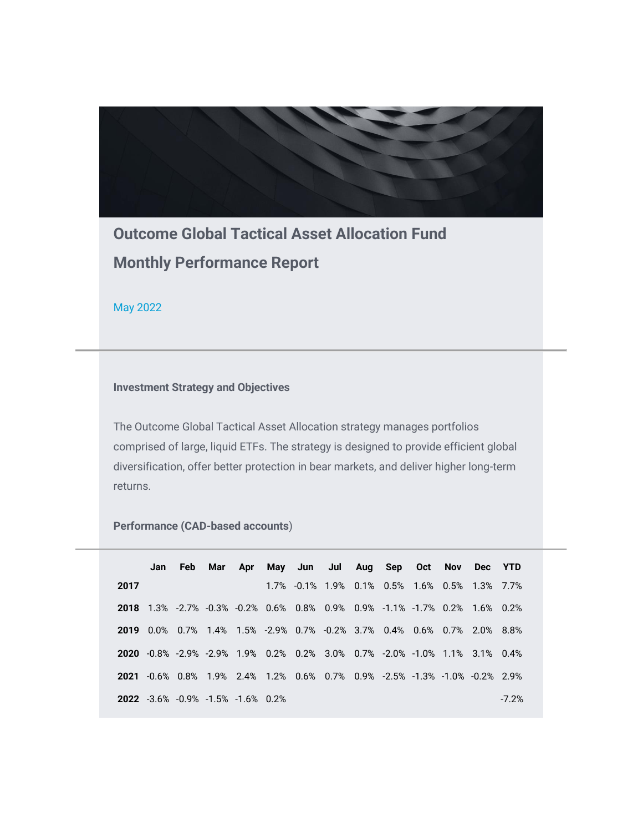

**Outcome Global Tactical Asset Allocation Fund Monthly Performance Report**

May 2022

## **Investment Strategy and Objectives**

The Outcome Global Tactical Asset Allocation strategy manages portfolios comprised of large, liquid ETFs. The strategy is designed to provide efficient global diversification, offer better protection in bear markets, and deliver higher long-term returns.

**Performance (CAD-based accounts**)

|      |  |                                          |  | Jan Feb Mar Apr May Jun Jul Aug Sep Oct Nov Dec YTD                               |  |  |         |
|------|--|------------------------------------------|--|-----------------------------------------------------------------------------------|--|--|---------|
| 2017 |  |                                          |  | 1.7% -0.1% 1.9% 0.1% 0.5% 1.6% 0.5% 1.3% 7.7%                                     |  |  |         |
|      |  |                                          |  | <b>2018</b> 1.3% -2.7% -0.3% -0.2% 0.6% 0.8% 0.9% 0.9% -1.1% -1.7% 0.2% 1.6% 0.2% |  |  |         |
|      |  |                                          |  | 2019 0.0% 0.7% 1.4% 1.5% -2.9% 0.7% -0.2% 3.7% 0.4% 0.6% 0.7% 2.0% 8.8%           |  |  |         |
|      |  |                                          |  | 2020 -0.8% -2.9% -2.9% 1.9% 0.2% 0.2% 3.0% 0.7% -2.0% -1.0% 1.1% 3.1% 0.4%        |  |  |         |
|      |  |                                          |  | 2021 -0.6% 0.8% 1.9% 2.4% 1.2% 0.6% 0.7% 0.9% -2.5% -1.3% -1.0% -0.2% 2.9%        |  |  |         |
|      |  | <b>2022</b> -3.6% -0.9% -1.5% -1.6% 0.2% |  |                                                                                   |  |  | $-7.2%$ |